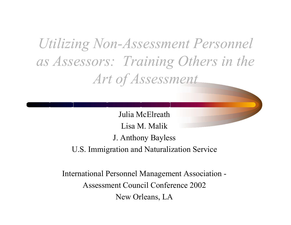#### *Utilizing Non-Assessment Personnel as Assessors: Training Others in the Art of Assessment*

Julia McElreathLisa M. MalikJ. Anthony Bayless U.S. Immigration and Naturalization Service

International Personnel Management Association - Assessment Council Conference 2002New Orleans, LA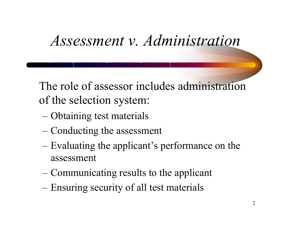#### *Assessment v. Administration*

The role of assessor includes administration of the selection system:

- Obtaining test materials
- Conducting the assessment
- Evaluating the applicant's performance on the assessment
- Communicating results to the applicant
- Ensuring security of all test materials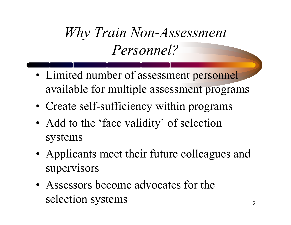#### *Why Train Non-Assessment Personnel?*

- •• Limited number of assessment personnel available for multiple assessment programs
- •Create self-sufficiency within programs
- •• Add to the 'face validity' of selection systems
- •• Applicants meet their future colleagues and supervisors
- Assessors become advocates for the selection systems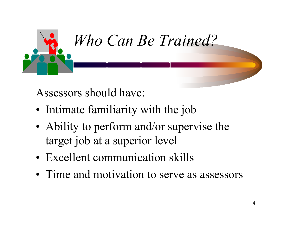

Assessors should have:

- •• Intimate familiarity with the job
- •• Ability to perform and/or supervise the target job at a superior level
- Excellent communication skills
- Time and motivation to serve as assessors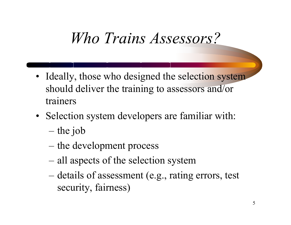### *Who Trains Assessors?*

- Ideally, those who designed the selection system should deliver the training to assessors and/or trainers
- Selection system developers are familiar with:
	- t h e j o b
	- the development process
	- all aspects of the selection system
	- details of assessment (e.g., rating errors, test security, fairness)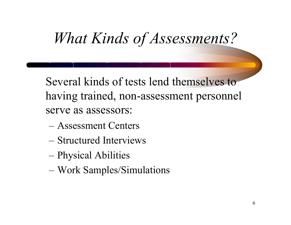## *What Kinds of Assessments?*

Several kinds of tests lend themselves to having trained, non-assessment personnel serve as assessors:

- –Assessment Centers
- –Structured Interviews
- Physical Abilities
- Work Samples/Simulations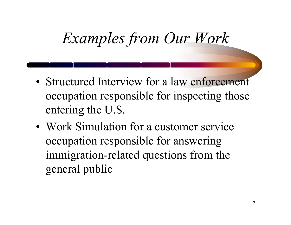## *Examples from Our Work*

- Structured Interview for a law enforcement occupation responsible for inspecting those entering the U.S.
- Work Simulation for a customer service occupation responsible for answering immigration-related questions from the general public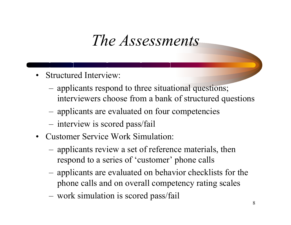#### *The Assessments*

- Structured Interview:
	- applicants respond to three situational questions; interviewers choose from a bank of structured questions
	- applicants are evaluated on four competencies
	- interview is scored pass/fail
- Customer Service Work Simulation:
	- applicants review a set of reference materials, then respond to a series of 'customer' phone calls
	- applicants are evaluated on behavior checklists for the phone calls and on overall competency rating scales
	- work simulation is scored pass/fail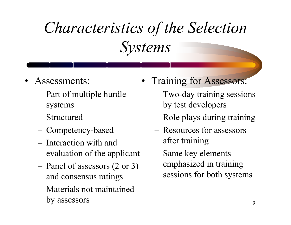# *Characteristics of the Selection Systems*

- •Assessments:
	- Part of multiple hurdle systems
	- –Structured
	- Competency-based
	- –Interaction with and evaluation of the applicant
	- Panel of assessors (2 or 3) and consensus ratings
	- –Materials not maintained by assessors
- Training for Assessors:
	- Two-day training sessions by test developers
	- Role plays during training
	- –Resources for assessors after training
	- Same key elements emphasized in training sessions for both systems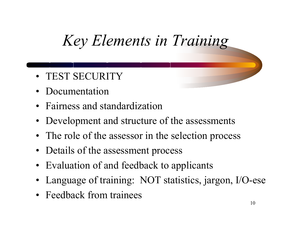### *Key Elements in Training*

- TEST SECURITY
- •Documentation
- •Fairness and standardization
- Development and structure of the assessments
- The role of the assessor in the selection process
- Details of the assessment process
- Evaluation of and feedback to applicants
- Language of training: NOT statistics, jargon, I/O-ese
- Feedback from trainees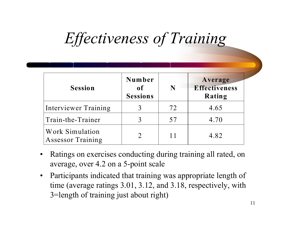## *Effectiveness of Training*

| <b>Session</b>                              | Number<br>of<br><b>Sessions</b> | N  | Average<br><b>Effectiveness</b><br>Rating |
|---------------------------------------------|---------------------------------|----|-------------------------------------------|
| Interviewer Training                        |                                 | 72 | 4.65                                      |
| Train-the-Trainer                           |                                 | 57 | 4.70                                      |
| Work Simulation<br><b>Assessor Training</b> |                                 | 11 | 4.82                                      |

- •Ratings on exercises conducting during training all rated, on average, over 4.2 on a 5-point scale
- •Participants indicated that training was appropriate length of time (average ratings 3.01, 3.12, and 3.18, respectively, with 3=length of training just about right)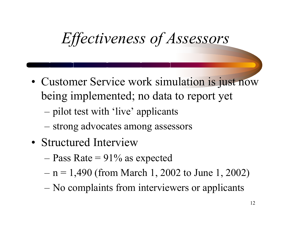## *Effectiveness of Assessors*

- Customer Service work simulation is just now being implemented; no data to report yet
	- pilot test with 'live' applicants
	- strong advocates among assessors
- Structured Interview
	- Pass Rate = 91% as expected
	- n = 1,490 (from March 1, 2002 to June 1, 2002)
	- No complaints from interviewers or applicants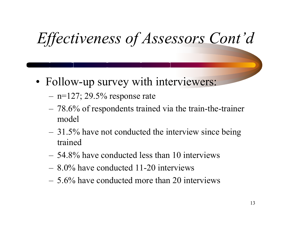## *Effectiveness of Assessors Cont'd*

- •• Follow-up survey with interviewers:
	- n=127; 29.5% response rate
	- 78.6% of respondents trained via the train-the-trainer model
	- –- 31.5% have not conducted the interview since being trained
	- 54.8% have conducted less than 10 interviews
	- 8.0% have conducted 11-20 interviews
	- 5.6% have conducted more than 20 interviews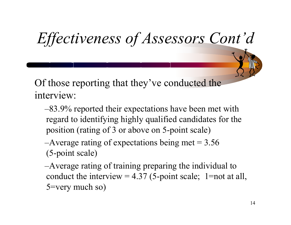# *Effectiveness of Assessors Cont'd*

Of those reporting that they've conducted the interview:

- –83.9% reported their expectations have been met with regard to identifying highly qualified candidates for the position (rating of 3 or above on 5-point scale)
- $-A$ verage rating of expectations being met  $= 3.56$ (5-point scale)
- –Average rating of training preparing the individual to conduct the interview = 4.37 (5-point scale; 1=not at all, 5=very much so)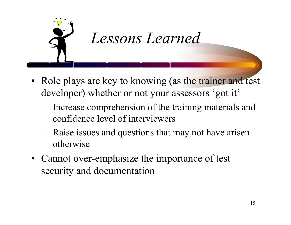

#### *Lessons Learned*

- Role plays are key to knowing (as the trainer and test developer) whether or not your assessors 'got it'
	- Increase comprehension of the training materials and confidence level of interviewers
	- Raise issues and questions that may not have arisen otherwise
- Cannot over-emphasize the importance of test security and documentation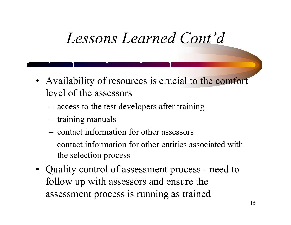#### *Lessons Learned Cont'd*

- Availability of resources is crucial to the comfort level of the assessors
	- –access to the test developers after training
	- training manuals
	- –contact information for other assessors
	- –contact information for other entities associated with the selection process
- Quality control of assessment process need to follow up with assessors and ensure the assessment process is running as trained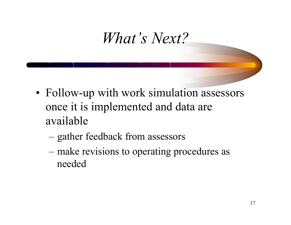#### *What's Next?*

- •• Follow-up with work simulation assessors once it is implemented and data are available
	- gather feedback from assessors
	- make revisions to operating procedures as needed